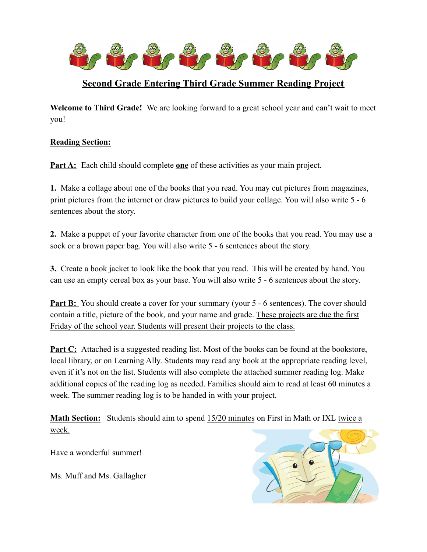

# **Second Grade Entering Third Grade Summer Reading Project**

**Welcome to Third Grade!** We are looking forward to a great school year and can't wait to meet you!

# **Reading Section:**

**Part A:** Each child should complete **one** of these activities as your main project.

**1.** Make a collage about one of the books that you read. You may cut pictures from magazines, print pictures from the internet or draw pictures to build your collage. You will also write 5 - 6 sentences about the story.

**2.** Make a puppet of your favorite character from one of the books that you read. You may use a sock or a brown paper bag. You will also write 5 - 6 sentences about the story.

**3.** Create a book jacket to look like the book that you read. This will be created by hand. You can use an empty cereal box as your base. You will also write 5 - 6 sentences about the story.

**Part B:** You should create a cover for your summary (your 5 - 6 sentences). The cover should contain a title, picture of the book, and your name and grade. These projects are due the first Friday of the school year. Students will present their projects to the class.

**Part C:** Attached is a suggested reading list. Most of the books can be found at the bookstore, local library, or on Learning Ally. Students may read any book at the appropriate reading level, even if it's not on the list. Students will also complete the attached summer reading log. Make additional copies of the reading log as needed. Families should aim to read at least 60 minutes a week. The summer reading log is to be handed in with your project.

**Math Section:** Students should aim to spend 15**/**20 minutes on First in Math or IXL twice a week.

Have a wonderful summer!

Ms. Muff and Ms. Gallagher

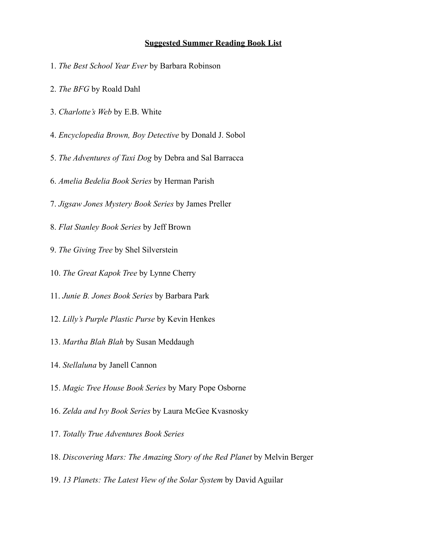### **Suggested Summer Reading Book List**

- 1. *The Best School Year Ever* by Barbara Robinson
- 2. *The BFG* by Roald Dahl
- 3. *Charlotte's Web* by E.B. White
- 4. *Encyclopedia Brown, Boy Detective* by Donald J. Sobol
- 5. *The Adventures of Taxi Dog* by Debra and Sal Barracca
- 6. *Amelia Bedelia Book Series* by Herman Parish
- 7. *Jigsaw Jones Mystery Book Series* by James Preller
- 8. *Flat Stanley Book Series* by Jeff Brown
- 9. *The Giving Tree* by Shel Silverstein
- 10. *The Great Kapok Tree* by Lynne Cherry
- 11. *Junie B. Jones Book Series* by Barbara Park
- 12. *Lilly's Purple Plastic Purse* by Kevin Henkes
- 13. *Martha Blah Blah* by Susan Meddaugh
- 14. *Stellaluna* by Janell Cannon
- 15. *Magic Tree House Book Series* by Mary Pope Osborne
- 16. *Zelda and Ivy Book Series* by Laura McGee Kvasnosky
- 17. *Totally True Adventures Book Series*
- 18. *Discovering Mars: The Amazing Story of the Red Planet* by Melvin Berger
- 19. *13 Planets: The Latest View of the Solar System* by David Aguilar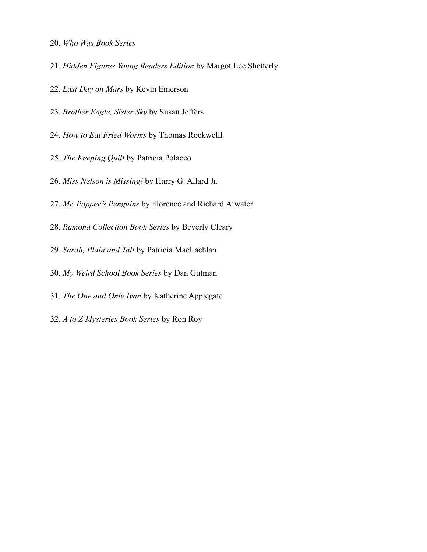- 20. *Who Was Book Series*
- 21. *Hidden Figures Young Readers Edition* by Margot Lee Shetterly
- 22. *Last Day on Mars* by Kevin Emerson
- 23. *Brother Eagle, Sister Sky* by Susan Jeffers
- 24. *How to Eat Fried Worms* by Thomas Rockwelll
- 25. *The Keeping Quilt* by Patricia Polacco
- 26. *Miss Nelson is Missing!* by Harry G. Allard Jr.
- 27. *Mr. Popper's Penguins* by Florence and Richard Atwater
- 28. *Ramona Collection Book Series* by Beverly Cleary
- 29. *Sarah, Plain and Tall* by Patricia MacLachlan
- 30. *My Weird School Book Series* by Dan Gutman
- 31. *The One and Only Ivan* by Katherine Applegate
- 32. *A to Z Mysteries Book Series* by Ron Roy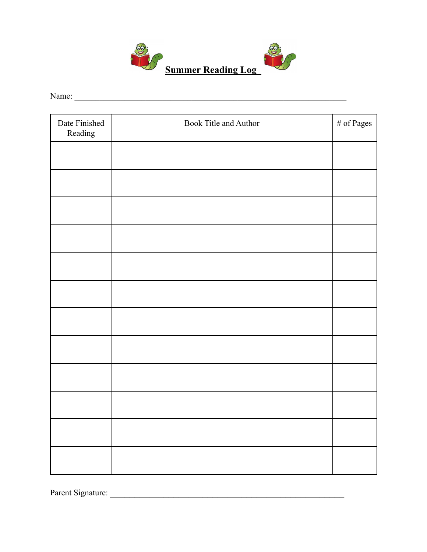

Name: \_\_\_\_\_\_\_\_\_\_\_\_\_\_\_\_\_\_\_\_\_\_\_\_\_\_\_\_\_\_\_\_\_\_\_\_\_\_\_\_\_\_\_\_\_\_\_\_\_\_\_\_\_\_\_\_\_\_\_\_\_\_\_\_\_

| Date Finished<br>Reading | Book Title and Author | $\#$ of Pages |
|--------------------------|-----------------------|---------------|
|                          |                       |               |
|                          |                       |               |
|                          |                       |               |
|                          |                       |               |
|                          |                       |               |
|                          |                       |               |
|                          |                       |               |
|                          |                       |               |
|                          |                       |               |
|                          |                       |               |
|                          |                       |               |
|                          |                       |               |

Parent Signature: \_\_\_\_\_\_\_\_\_\_\_\_\_\_\_\_\_\_\_\_\_\_\_\_\_\_\_\_\_\_\_\_\_\_\_\_\_\_\_\_\_\_\_\_\_\_\_\_